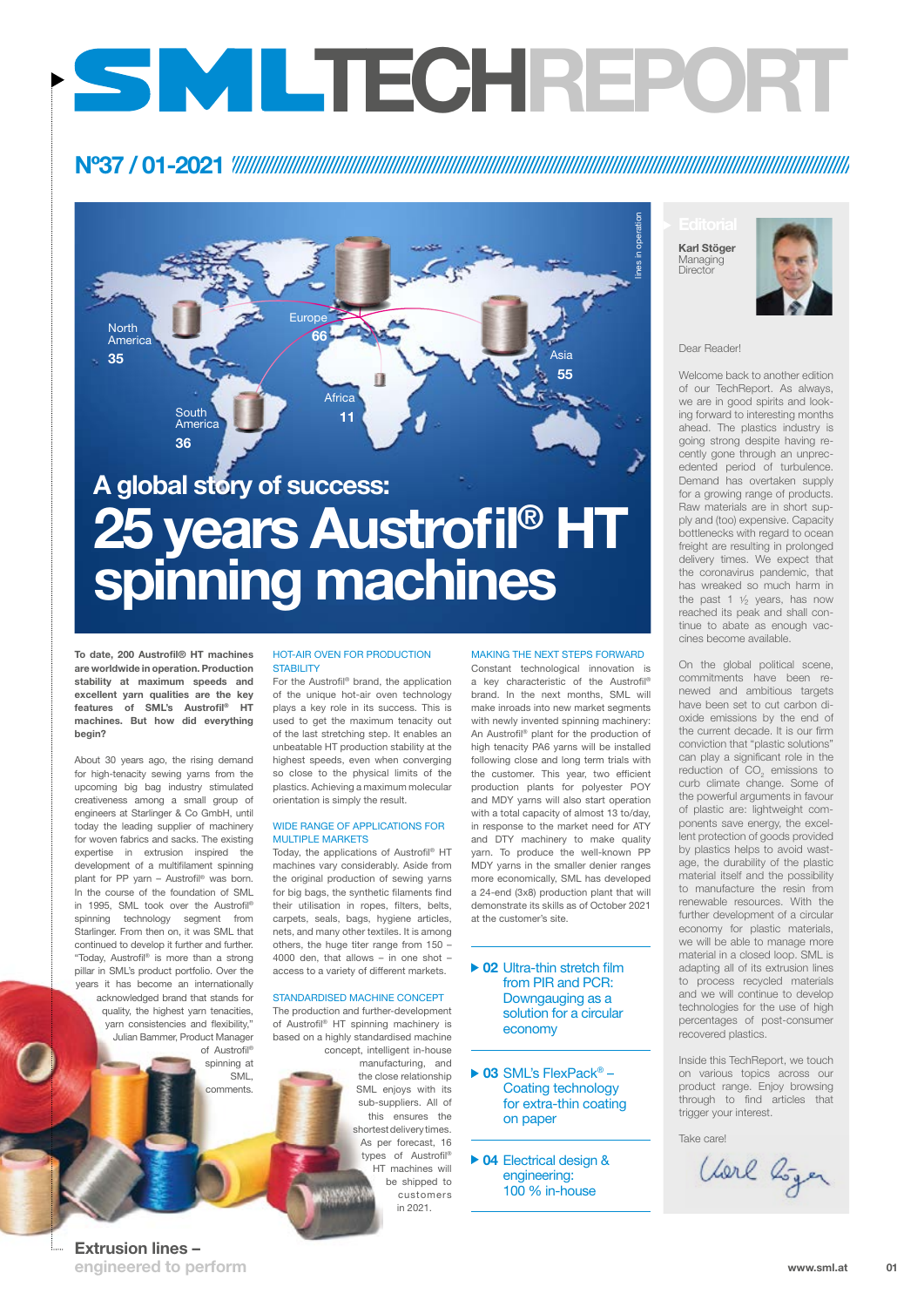#### Extrusion lines – engineered to perform

#### Dear Reader!

Welcome back to another edition of our TechReport. As always, we are in good spirits and looking forward to interesting months ahead. The plastics industry is going strong despite having recently gone through an unprecedented period of turbulence. Demand has overtaken supply for a growing range of products. Raw materials are in short supply and (too) expensive. Capacity bottlenecks with regard to ocean freight are resulting in prolonged delivery times. We expect that the coronavirus pandemic, that has wreaked so much harm in the past 1  $\frac{1}{2}$  years, has now reached its peak and shall continue to abate as enough vaccines become available.

Karl Stöger Managing **Director** 



On the global political scene, commitments have been renewed and ambitious targets have been set to cut carbon dioxide emissions by the end of the current decade. It is our firm conviction that "plastic solutions" can play a significant role in the reduction of  $CO_2$  emissions to curb climate change. Some of the powerful arguments in favour of plastic are: lightweight components save energy, the excellent protection of goods provided by plastics helps to avoid wastage, the durability of the plastic material itself and the possibility to manufacture the resin from renewable resources. With the further development of a circular economy for plastic materials, we will be able to manage more material in a closed loop. SML is adapting all of its extrusion lines to process recycled materials and we will continue to develop technologies for the use of high percentages of post-consumer recovered plastics.

#### HOT-AIR OVEN FOR PRODUCTION **STABILITY**

Inside this TechReport, we touch on various topics across our product range. Enjoy browsing through to find articles that trigger your interest.

Take care!

Verl Löger

To date, 200 Austrofil® HT machines are worldwide in operation. Production stability at maximum speeds and excellent yarn qualities are the key features of SML's Austrofil® HT machines. But how did everything begin?

About 30 years ago, the rising demand for high-tenacity sewing yarns from the upcoming big bag industry stimulated creativeness among a small group of engineers at Starlinger & Co GmbH, until today the leading supplier of machinery for woven fabrics and sacks. The existing expertise in extrusion inspired the development of a multifilament spinning plant for PP yarn – Austrofil® was born. In the course of the foundation of SML in 1995, SML took over the Austrofil® spinning technology segment from Starlinger. From then on, it was SML that continued to develop it further and further. "Today, Austrofil® is more than a strong pillar in SML's product portfolio. Over the years it has become an internationally acknowledged brand that stands for quality, the highest yarn tenacities, yarn consistencies and flexibility," Julian Bammer, Product Manager of Austrofil® spinning at

#### ▶ 02 Ultra-thin stretch film from PIR and PCR:

▶ 03 SML's FlexPack<sup>®</sup> – Coating technology for extra-thin coating on paper

▶ 04 Electrical design & engineering: 100 % in-house

SML, comments.

### Nº37 / 01-2021

# TECHREPORT

For the Austrofil® brand, the application of the unique hot-air oven technology plays a key role in its success. This is used to get the maximum tenacity out of the last stretching step. It enables an unbeatable HT production stability at the highest speeds, even when converging so close to the physical limits of the plastics. Achieving a maximum molecular orientation is simply the result.

#### WIDE RANGE OF APPLICATIONS FOR MULTIPLE MARKETS

Today, the applications of Austrofil® HT machines vary considerably. Aside from the original production of sewing yarns for big bags, the synthetic filaments find their utilisation in ropes, filters, belts, carpets, seals, bags, hygiene articles, nets, and many other textiles. It is among others, the huge titer range from 150 – 4000 den, that allows – in one shot – access to a variety of different markets.

STANDARDISED MACHINE CONCEPT

The production and further-development of Austrofil® HT spinning machinery is based on a highly standardised machine concept, intelligent in-house manufacturing, and the close relationship SML enjoys with its sub-suppliers. All of this ensures the shortest delivery times. As per forecast, 16 types of Austrofil® HT machines will be shipped to customers in 2021.

#### MAKING THE NEXT STEPS FORWARD

Constant technological innovation is a key characteristic of the Austrofil® brand. In the next months, SML will make inroads into new market segments with newly invented spinning machinery: An Austrofil® plant for the production of high tenacity PA6 yarns will be installed following close and long term trials with the customer. This year, two efficient production plants for polyester POY and MDY yarns will also start operation with a total capacity of almost 13 to/day, in response to the market need for ATY and DTY machinery to make quality yarn. To produce the well-known PP MDY yarns in the smaller denier ranges more economically, SML has developed a 24-end (3x8) production plant that will demonstrate its skills as of October 2021 at the customer's site.

#### Downgauging as a solution for a circular economy

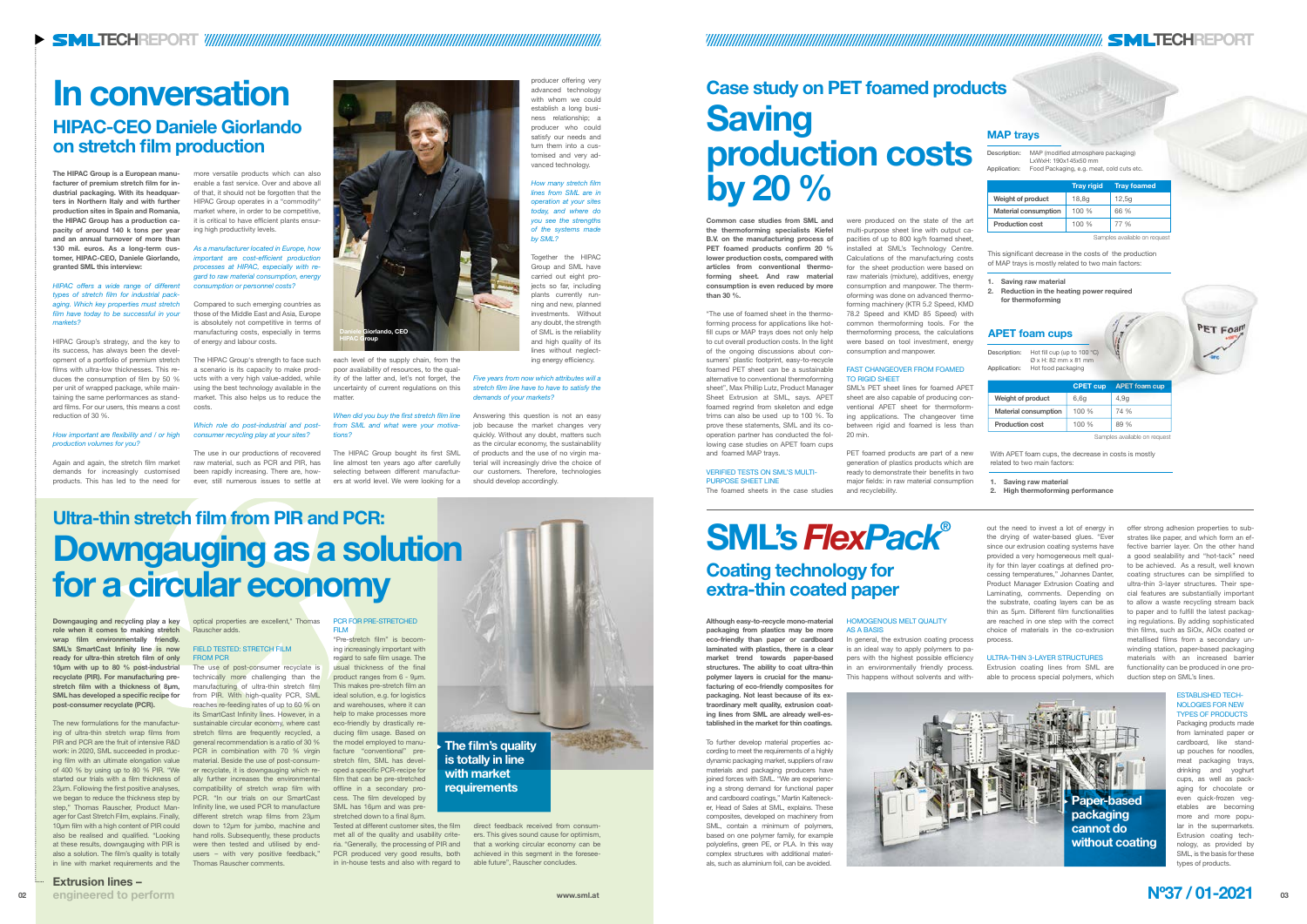# Ultra-thin stretch film from PIR and PCR: Downgauging as a solution for a circular economy

Downgauging and recycling play a key role when it comes to making stretch wrap film environmentally friendly. SML's SmartCast Infinity line is now ready for ultra-thin stretch film of only 10µm with up to 80 % post-industrial recyclate (PIR). For manufacturing prestretch film with a thickness of 8µm, SML has developed a specific recipe for post-consumer recyclate (PCR).

The use of post-consumer recyclate is technically more challenging than the manufacturing of ultra-thin stretch film from PIR. With high-quality PCR, SML reaches re-feeding rates of up to 60 % on and warehouses, where it can its SmartCast Infinity lines. However, in a sustainable circular economy, where cast stretch films are frequently recycled, a general recommendation is a ratio of 30 % PCR in combination with 70 % virgin material. Beside the use of post-consumer recyclate, it is downgauging which really further increases the environmental PCR. "In our trials on our SmartCast Infinity line, we used PCR to manufacture different stretch wrap films from 23µm down to 12µm for jumbo, machine and users – with very positive feedback,"

#### PCR FOR PRE-STRETCHED **FILM**

"Pre-stretch film" is becoming increasingly important with regard to safe film usage. The usual thickness of the final product ranges from 6 - 9µm. This makes pre-stretch film an ideal solution, e.g. for logistics help to make processes more eco-friendly by drastically reducing film usage. Based on the model employed to manufacture "conventional" prestretch film, SML has developed a specific PCR-recipe for film that can be pre-stretched offline in a secondary process. The film developed by SML has 16µm and was prestretched down to a final 8µm.

optical properties are excellent," Thomas Rauscher adds.

#### FIELD TESTED: STRETCH FILM FROM PCR

The new formulations for the manufacturing of ultra-thin stretch wrap films from PIR and PCR are the fruit of intensive R&D work: in 2020, SML succeeded in producing film with an ultimate elongation value of 400 % by using up to 80 % PIR. "We started our trials with a film thickness of 23µm. Following the first positive analyses, compatibility of stretch wrap film with we began to reduce the thickness step by step," Thomas Rauscher, Product Manager for Cast Stretch Film, explains. Finally, 10µm film with a high content of PIR could also be realised and qualified. "Looking hand rolls. Subsequently, these products at these results, downgauging with PIR is were then tested and utilised by endalso a solution. The film's quality is totally in line with market requirements and the Thomas Rauscher comments.

Tested at different customer sites, the film direct feedback received from consumria. "Generally, the processing of PIR and that a working circular economy can be PCR produced very good results, both achieved in this segment in the foreseeers. This gives sound cause for optimism,

met all of the quality and usability critein in-house tests and also with regard to able future", Rauscher concludes.

The HIPAC Group is a European manufacturer of premium stretch film for industrial packaging. With its headquarters in Northern Italy and with further production sites in Spain and Romania, the HIPAC Group has a production capacity of around 140 k tons per year and an annual turnover of more than 130 mil. euros. As a long-term customer, HIPAC-CEO, Daniele Giorlando, granted SML this interview:

*HIPAC offers a wide range of different types of stretch film for industrial packaging. Which key properties must stretch film have today to be successful in your markets?*

HIPAC Group's strategy, and the key to its success, has always been the development of a portfolio of premium stretch films with ultra-low thicknesses. This reduces the consumption of film by 50 % per unit of wrapped package, while maintaining the same performances as standard films. For our users, this means a cost reduction of 30 %.

*How important are flexibility and / or high production volumes for you?*

Again and again, the stretch film market demands for increasingly customised products. This has led to the need for

more versatile products which can also enable a fast service. Over and above all of that, it should not be forgotten that the HIPAC Group operates in a "commodity" market where, in order to be competitive, it is critical to have efficient plants ensuring high productivity levels.

*As a manufacturer located in Europe, how important are cost-efficient production processes at HIPAC, especially with regard to raw material consumption, energy consumption or personnel costs?*

# Case study on PET foamed products **Saving** production costs by 20 %

Compared to such emerging countries as those of the Middle East and Asia, Europe is absolutely not competitive in terms of manufacturing costs, especially in terms of energy and labour costs.

Description: Hot fill cup (up to 100 °C) Ø x H: 82 mm x 81 mm Application: Hot food packaging

The HIPAC Group's strength to face such a scenario is its capacity to make products with a very high value-added, while using the best technology available in the market. This also helps us to reduce the costs.

#### *Which role do post-industrial and postconsumer recycling play at your sites?*

The use in our productions of recovered raw material, such as PCR and PIR, has been rapidly increasing. There are, however, still numerous issues to settle at each level of the supply chain, from the poor availability of resources, to the quality of the latter and, let's not forget, the uncertainty of current regulations on this matter.

*When did you buy the first stretch film line from SML and what were your motivations?*

The HIPAC Group bought its first SML line almost ten years ago after carefully selecting between different manufacturers at world level. We were looking for a

producer offering very advanced technology with whom we could establish a long business relationship; a producer who could satisfy our needs and turn them into a customised and very advanced technology.

*How many stretch film lines from SML are in operation at your sites today, and where do you see the strengths of the systems made by SML?*

Together the HIPAC Group and SML have carried out eight projects so far, including plants currently running and new, planned investments. Without any doubt, the strength of SML is the reliability and high quality of its lines without neglecting energy efficiency.

#### *Five years from now which attributes will a stretch film line have to have to satisfy the demands of your markets?*

Answering this question is not an easy job because the market changes very quickly. Without any doubt, matters such as the circular economy, the sustainability of products and the use of no virgin material will increasingly drive the choice of our customers. Therefore, technologies should develop accordingly.

## In conversation HIPAC-CEO Daniele Giorlando on stretch film production



TAND AND THE STATE STATE STATE STATE STATE STATE STATE STATE STATE STATE STATE STATE STATE STATE STATE STATE STATE STATE STATE STATE STATE STATE STATE STATE STATE STATE STATE STATE STATE STATE STATE STATE STATE STATE STATE

This significant decrease in the costs of the production of MAP trays is mostly related to two main factors:

- 1. Saving raw material
- 2. Reduction in the heating power required for thermoforming

|                             | <b>Tray rigid</b> | <b>Tray foamed</b> |
|-----------------------------|-------------------|--------------------|
| <b>Weight of product</b>    | 18,8g             | 12,5q              |
| <b>Material consumption</b> | 100%              | 66 %               |
| <b>Production cost</b>      | 100%              | 77 %               |

Samples available on request

| Description: | MAP (modified atmosphere packaging)<br>LxWxH: 190x145x50 mm |  |
|--------------|-------------------------------------------------------------|--|
| Application: | Food Packaging, e.g. meat, cold cuts etc.                   |  |

#### MAP trays

were produced on the state of the art multi-purpose sheet line with output capacities of up to 800 kg/h foamed sheet, installed at SML's Technology Centre. Calculations of the manufacturing costs for the sheet production were based on raw materials (mixture), additives, energy consumption and manpower. The thermoforming was done on advanced thermoforming machinery (KTR 5.2 Speed, KMD 78.2 Speed and KMD 85 Speed) with common thermoforming tools. For the thermoforming process, the calculations were based on tool investment, energy

consumption and manpower.

#### FAST CHANGEOVER FROM FOAMED TO RIGID SHEET

SML's PET sheet lines for foamed APET sheet are also capable of producing conventional APET sheet for thermoforming applications. The changeover time between rigid and foamed is less than 20 min.

PET foamed products are part of a new generation of plastics products which are ready to demonstrate their benefits in two major fields: in raw material consumption and recyclebility.

Common case studies from SML and the thermoforming specialists Kiefel B.V. on the manufacturing process of PET foamed products confirm 20 % lower production costs, compared with articles from conventional thermoforming sheet. And raw material consumption is even reduced by more than 30 %.

"The use of foamed sheet in the thermoforming process for applications like hotfill cups or MAP trays does not only help to cut overall production costs. In the light of the ongoing discussions about consumers' plastic footprint, easy-to-recycle foamed PET sheet can be a sustainable alternative to conventional thermoforming sheet", Max Phillip Lutz, Product Manager Sheet Extrusion at SML, says. APET foamed regrind from skeleton and edge trims can also be used up to 100 %. To prove these statements, SML and its cooperation partner has conducted the following case studies on APET foam cups and foamed MAP trays.

#### VERIFIED TESTS ON SML'S MULTI-PURPOSE SHEET LINE

The foamed sheets in the case studies

With APET foam cups, the decrease in costs is mostly related to two main factors:

1. Saving raw material

2. High thermoforming performance

|                             | <b>CPET cup</b> | <b>APET foam cup</b> |
|-----------------------------|-----------------|----------------------|
| <b>Weight of product</b>    | 6,6g            | 4.9q                 |
| <b>Material consumption</b> | 100%            | 74 %                 |
| <b>Production cost</b>      | 100%            | 89%                  |

Samples available on request

#### APET foam cups



Although easy-to-recycle mono-material packaging from plastics may be more eco-friendly than paper or cardboard laminated with plastics, there is a clear market trend towards paper-based structures. The ability to coat ultra-thin polymer layers is crucial for the manufacturing of eco-friendly composites for packaging. Not least because of its extraordinary melt quality, extrusion coating lines from SML are already well-established in the market for thin coatings.

To further develop material properties according to meet the requirements of a highly dynamic packaging market, suppliers of raw materials and packaging producers have joined forces with SML. "We are experiencing a strong demand for functional paper and cardboard coatings," Martin Kaltenecker, Head of Sales at SML, explains. These composites, developed on machinery from SML, contain a minimum of polymers, based on one polymer family, for example polyolefins, green PE, or PLA. In this way complex structures with additional materials, such as aluminium foil, can be avoided.

#### HOMOGENOUS MELT QUALITY AS A BASIS

In general, the extrusion coating process is an ideal way to apply polymers to papers with the highest possible efficiency in an environmentally friendly process. This happens without solvents and without the need to invest a lot of energy in the drying of water-based glues. "Ever since our extrusion coating systems have provided a very homogeneous melt quality for thin layer coatings at defined processing temperatures," Johannes Danter, Product Manager Extrusion Coating and Laminating, comments. Depending on the substrate, coating layers can be as thin as 5µm. Different film functionalities are reached in one step with the correct choice of materials in the co-extrusion process.

#### ULTRA-THIN 3-LAYER STRUCTURES

Extrusion coating lines from SML are able to process special polymers, which

## SML's *FlexPack*® Coating technology for extra-thin coated paper

offer strong adhesion properties to substrates like paper, and which form an effective barrier layer. On the other hand a good sealability and "hot-tack" need to be achieved. As a result, well known coating structures can be simplified to ultra-thin 3-layer structures. Their special features are substantially important to allow a waste recycling stream back to paper and to fulfill the latest packaging regulations. By adding sophisticated thin films, such as SiOx, AlOx coated or metallised films from a secondary unwinding station, paper-based packaging materials with an increased barrier functionality can be produced in one production step on SML's lines.

#### ESTABLISHED TECH-NOLOGIES FOR NEW TYPES OF PRODUCTS

PET Foal

Packaging products made from laminated paper or cardboard, like standup pouches for noodles, meat packaging trays, drinking and yoghurt cups, as well as packaging for chocolate or even quick-frozen vegetables are becoming more and more popular in the supermarkets. Extrusion coating technology, as provided by SML, is the basis for these types of products.

Paper-based packaging cannot do without coating

#### The film's quality is totally in line with market requirements